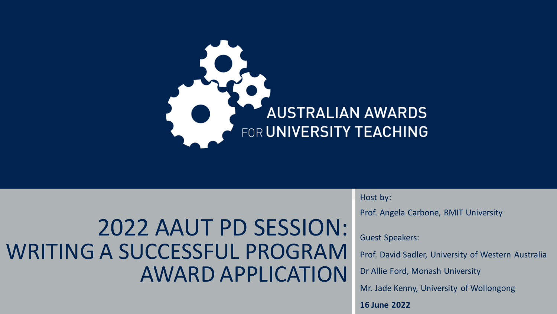

#### 2022 AAUT PD SESSION: WRITING A SUCCESSFUL PROGRAM AWARD APPLICATION

Host by:

Prof. Angela Carbone, RMIT University

Guest Speakers:

Prof. David Sadler, University of Western Australia

Dr Allie Ford, Monash University

Mr. Jade Kenny, University of Wollongong

**16 June 2022**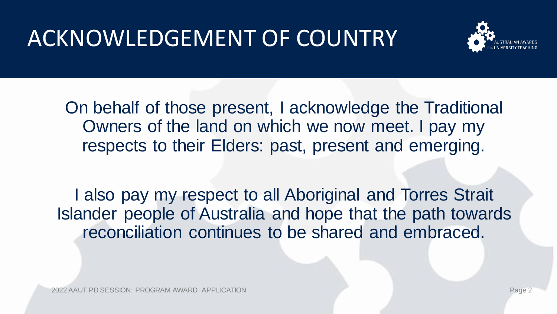# ACKNOWLEDGEMENT OF COUNTRY



On behalf of those present, I acknowledge the Traditional Owners of the land on which we now meet. I pay my respects to their Elders: past, present and emerging.

I also pay my respect to all Aboriginal and Torres Strait Islander people of Australia and hope that the path towards reconciliation continues to be shared and embraced.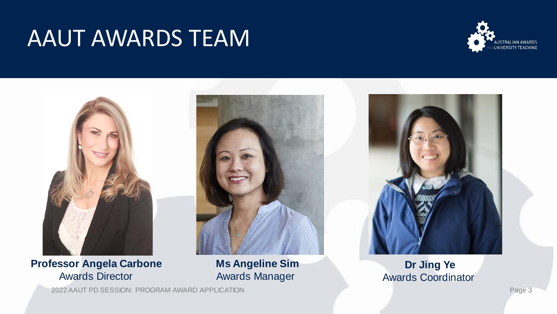#### AAUT AWARDS TEAM





#### **Professor Angela Carbone** Awards Director



#### **Ms Angeline Sim** Awards Manager

#### **Dr Jing Ye** Awards Coordinator

2022 AAUT PD SESSION: PROGRAM AWARD APPLICATION Page 3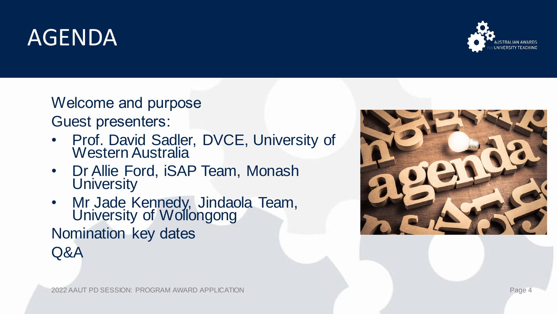### AGENDA



Welcome and purpose Guest presenters:

- Prof. David Sadler, DVCE, University of Western Australia
- Dr Allie Ford, iSAP Team, Monash **University**
- Mr Jade Kennedy, Jindaola Team, University of Wollongong Nomination key dates Q&A

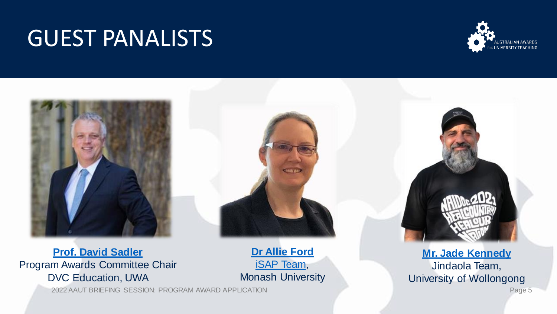#### GUEST PANALISTS





**[Prof. David Sadler](https://research-repository.uwa.edu.au/en/persons/david-sadler)**  Program Awards Committee Chair DVC Education, UWA

2022 AAUT BRIEFING SESSION: PROGRAM AWARD APPLICATION Page 5

**[Dr Allie Ford](https://aus01.safelinks.protection.outlook.com/?url=https%3A%2F%2Fwww.linkedin.com%2Fin%2Fallie-ford%2F&data=05%7C01%7Caaut%40rmit.edu.au%7C0812a4571c04402ad3a208da36c6c1ac%7Cd1323671cdbe4417b4d4bdb24b51316b%7C0%7C0%7C637882524536888104%7CUnknown%7CTWFpbGZsb3d8eyJWIjoiMC4wLjAwMDAiLCJQIjoiV2luMzIiLCJBTiI6Ik1haWwiLCJXVCI6Mn0%3D%7C3000%7C%7C%7C&sdata=YJv5UI57FXB3%2FeGMuLpsSXDC9tMLZ14VGPcWFDKdEcE%3D&reserved=0)** [iSAP Team,](https://rise.articulate.com/share/NMJfZxfh2C_YnlJLwUSVVmtdHbr9gp2-) Monash University

**[Mr. Jade Kennedy](https://www.uow.edu.au/about/our-vision-strategy/our-aboriginal-torres-strait-islander-strategy/our-people/jade-kennedy/)** Jindaola Team, University of Wollongong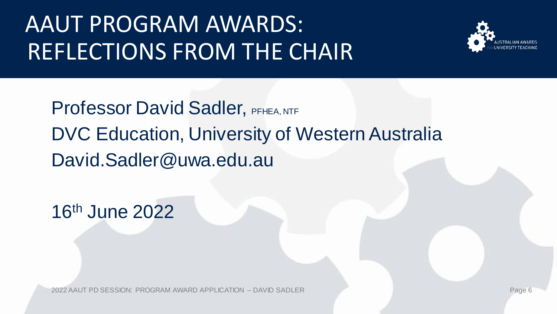# AAUT PROGRAM AWARDS: REFLECTIONS FROM THE CHAIR



Professor David Sadler, PFHEA, NTF DVC Education, University of Western Australia David.Sadler@uwa.edu.au

16th June 2022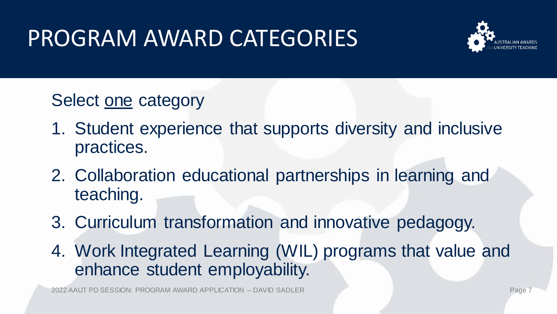# PROGRAM AWARD CATEGORIES



Select one category

- 1. Student experience that supports diversity and inclusive practices.
- 2. Collaboration educational partnerships in learning and teaching.
- 3. Curriculum transformation and innovative pedagogy.
- 4. Work Integrated Learning (WIL) programs that value and enhance student employability.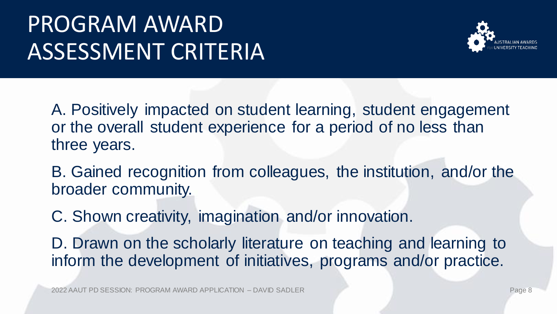# PROGRAM AWARD ASSESSMENT CRITERIA



A. Positively impacted on student learning, student engagement or the overall student experience for a period of no less than three years.

B. Gained recognition from colleagues, the institution, and/or the broader community.

C. Shown creativity, imagination and/or innovation.

D. Drawn on the scholarly literature on teaching and learning to inform the development of initiatives, programs and/or practice.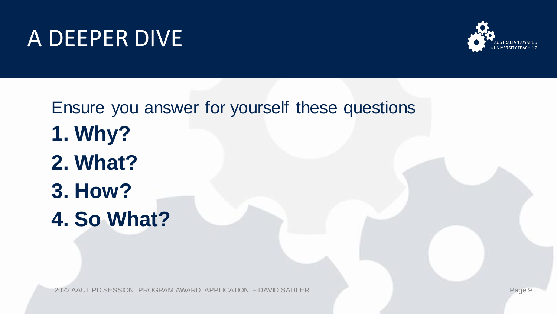#### A DEEPER DIVE



Ensure you answer for yourself these questions **1. Why? 2. What? 3. How? 4. So What?**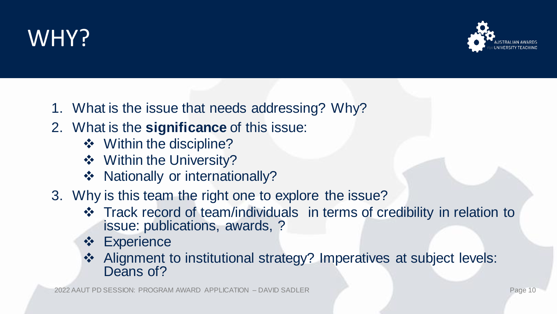#### WHY?



- 1. What is the issue that needs addressing? Why?
- 2. What is the **significance** of this issue:
	- ❖ Within the discipline?
	- ❖ Within the University?
	- ❖ Nationally or internationally?
- 3. Why is this team the right one to explore the issue?
	- ❖ Track record of team/individuals in terms of credibility in relation to issue: publications, awards, ?
	- ❖ Experience
	- ❖ Alignment to institutional strategy? Imperatives at subject levels: Deans of?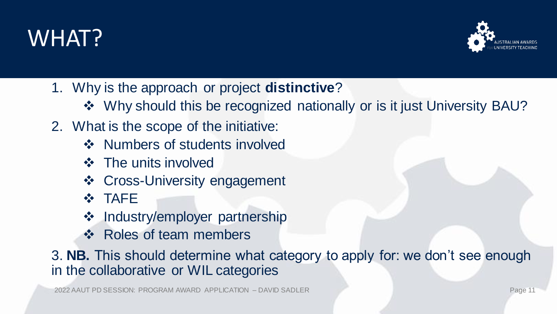



- 1. Why is the approach or project **distinctive**?
	- ❖ Why should this be recognized nationally or is it just University BAU?
- 2. What is the scope of the initiative:
	- ❖ Numbers of students involved
	- ❖ The units involved
	- ❖ Cross-University engagement
	- ❖ TAFE
	- ❖ Industry/employer partnership
	- ❖ Roles of team members

3. **NB.** This should determine what category to apply for: we don't see enough in the collaborative or WIL categories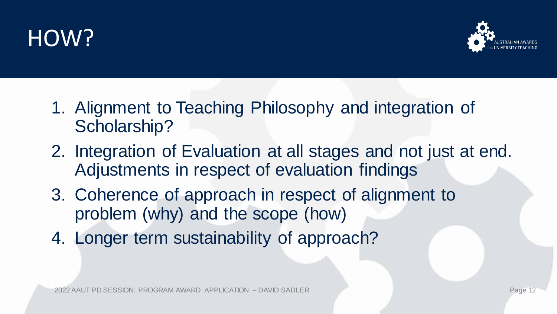# HOW?



- 1. Alignment to Teaching Philosophy and integration of Scholarship?
- 2. Integration of Evaluation at all stages and not just at end. Adjustments in respect of evaluation findings
- 3. Coherence of approach in respect of alignment to problem (why) and the scope (how)
- 4. Longer term sustainability of approach?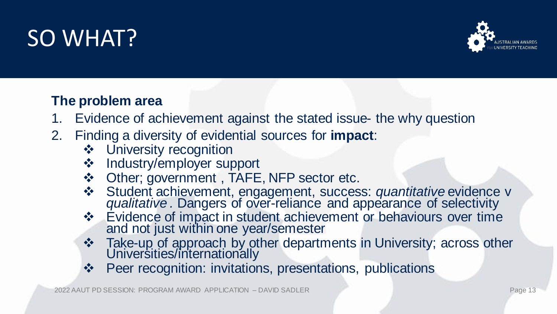### SO WHAT?



#### **The problem area**

- 1. Evidence of achievement against the stated issue- the why question
- 2. Finding a diversity of evidential sources for **impact**:
	- ❖ University recognition
	- ❖ Industry/employer support
	- ❖ Other; government , TAFE, NFP sector etc.
	- ❖ Student achievement, engagement, success: *quantitative* evidence v *qualitative .* Dangers of over-reliance and appearance of selectivity
	- ❖ Evidence of impact in student achievement or behaviours over time and not just within one year/semester
	- ❖ Take-up of approach by other departments in University; across other Universities/internationally
	- ❖ Peer recognition: invitations, presentations, publications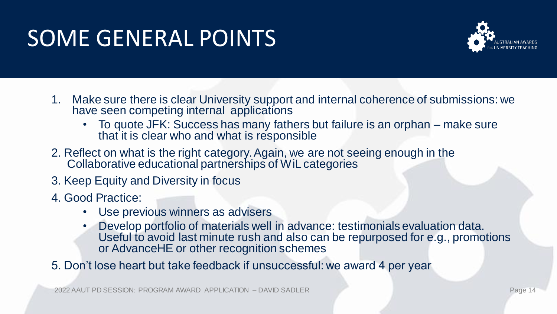## SOME GENERAL POINTS



- 1. Make sure there is clear University support and internal coherence of submissions: we have seen competing internal applications
	- To quote JFK: Success has many fathers but failure is an orphan make sure that it is clear who and what is responsible
- 2. Reflect on what is the right category. Again, we are not seeing enough in the Collaborative educational partnerships of WiL categories
- 3. Keep Equity and Diversity in focus
- 4. Good Practice:
	- Use previous winners as advisers
	- Develop portfolio of materials well in advance: testimonials evaluation data. Useful to avoid last minute rush and also can be repurposed for e.g., promotions or AdvanceHE or other recognition schemes

5. Don't lose heart but take feedback if unsuccessful: we award 4 per year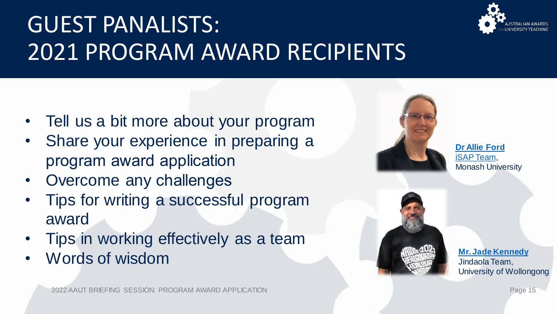

# GUEST PANALISTS: 2021 PROGRAM AWARD RECIPIENTS

- Tell us a bit more about your program
- Share your experience in preparing a program award application
- Overcome any challenges
- Tips for writing a successful program award
- Tips in working effectively as a team
- Words of wisdom



**[Dr Allie Ford](https://aus01.safelinks.protection.outlook.com/?url=https%3A%2F%2Fwww.linkedin.com%2Fin%2Fallie-ford%2F&data=05%7C01%7Caaut%40rmit.edu.au%7C0812a4571c04402ad3a208da36c6c1ac%7Cd1323671cdbe4417b4d4bdb24b51316b%7C0%7C0%7C637882524536888104%7CUnknown%7CTWFpbGZsb3d8eyJWIjoiMC4wLjAwMDAiLCJQIjoiV2luMzIiLCJBTiI6Ik1haWwiLCJXVCI6Mn0%3D%7C3000%7C%7C%7C&sdata=YJv5UI57FXB3%2FeGMuLpsSXDC9tMLZ14VGPcWFDKdEcE%3D&reserved=0)** [iSAP Team,](https://rise.articulate.com/share/NMJfZxfh2C_YnlJLwUSVVmtdHbr9gp2-) Monash University



**[Mr. Jade Kennedy](https://www.uow.edu.au/about/our-vision-strategy/our-aboriginal-torres-strait-islander-strategy/our-people/jade-kennedy/)** Jindaola Team, University of Wollongong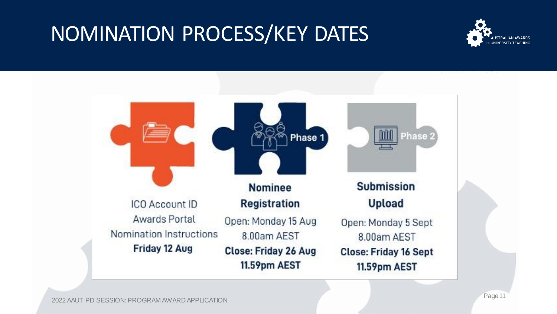#### NOMINATION PROCESS/KEY DATES



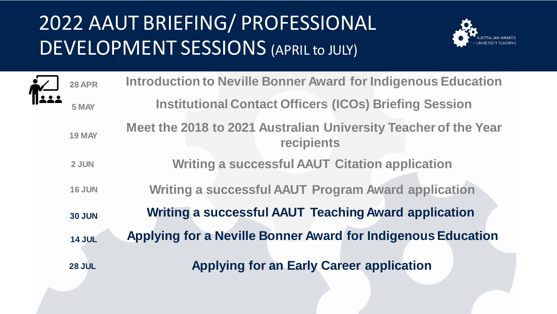#### 2022 AAUT BRIEFING/ PROFESSIONAL DEVELOPMENT SESSIONS (APRIL to JULY)



| <b>28 APR</b> | <b>Introduction to Neville Bonner Award for Indigenous Education</b>          |
|---------------|-------------------------------------------------------------------------------|
| 5 MAY         | <b>Institutional Contact Officers (ICOs) Briefing Session</b>                 |
| <b>19 MAY</b> | Meet the 2018 to 2021 Australian University Teacher of the Year<br>recipients |
| 2 JUN         | <b>Writing a successful AAUT Citation application</b>                         |
| <b>16 JUN</b> | <b>Writing a successful AAUT Program Award application</b>                    |
| <b>30 JUN</b> | <b>Writing a successful AAUT Teaching Award application</b>                   |
| <b>14 JUL</b> | <b>Applying for a Neville Bonner Award for Indigenous Education</b>           |
| <b>28 JUL</b> | <b>Applying for an Early Career application</b>                               |
|               |                                                                               |